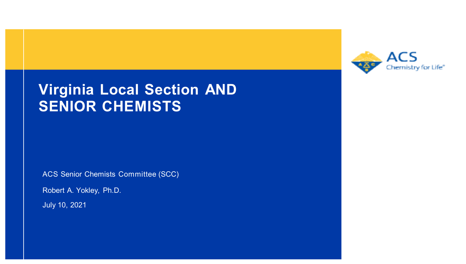

#### **Virginia Local Section AND SENIOR CHEMISTS**

ACS Senior Chemists Committee (SCC)

Robert A. Yokley, Ph.D.

July 10, 2021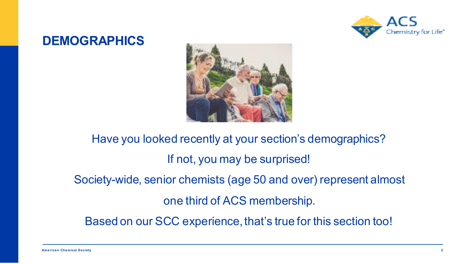

#### **DEMOGRAPHICS**



Have you looked recently at your section's demographics? If not, you may be surprised! Society-wide, senior chemists (age 50 and over) represent almost one third of ACS membership. Based on our SCC experience, that's true for this section too!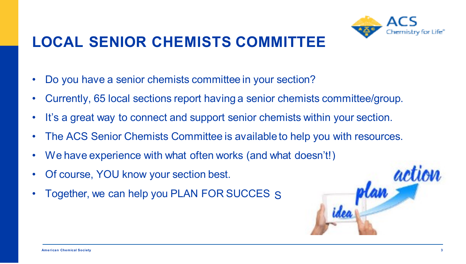## **LOCAL SENIOR CHEMISTS COMMITTEE**



- Do you have a senior chemists committee in your section?
- Currently, 65 local sections report having a senior chemists committee/group.
- It's a great way to connect and support senior chemists within your section.
- The ACS Senior Chemists Committee is available to help you with resources.
- We have experience with what often works (and what doesn't!)
- Of course, YOU know your section best.
- Together, we can help you PLAN FOR SUCCES S

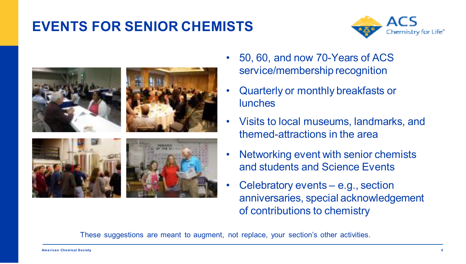#### **EVENTS FOR SENIOR CHEMISTS**





- 50, 60, and now 70-Years of ACS service/membership recognition
- Quarterly or monthly breakfasts or lunches
- Visits to local museums, landmarks, and themed-attractions in the area
- Networking event with senior chemists and students and Science Events
- Celebratory events e.g., section anniversaries, special acknowledgement of contributions to chemistry

These suggestions are meant to augment, not replace, your section's other activities.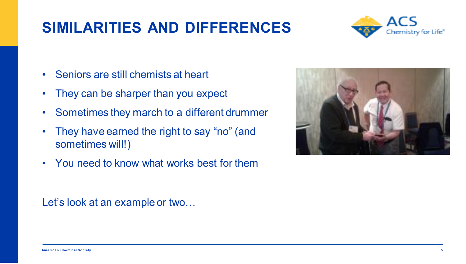#### **SIMILARITIES AND DIFFERENCES**



- Seniors are still chemists at heart
- They can be sharper than you expect
- Sometimes they march to a different drummer
- They have earned the right to say "no" (and sometimes will!)
- You need to know what works best for them

#### Let's look at an example or two…

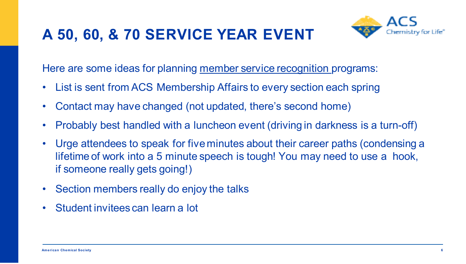#### **A 50, 60, & 70 SERVICE YEAR EVENT**



Here are some ideas for planning member service recognition programs:

- List is sent from ACS Membership Affairs to every section each spring
- Contact may have changed (not updated, there's second home)
- Probably best handled with a luncheon event (driving in darkness is a turn-off)
- Urge attendees to speak for five minutes about their career paths (condensing a lifetime of work into a 5 minute speech is tough! You may need to use a hook, if someone really gets going!)
- Section members really do enjoy the talks
- Student invitees can learn a lot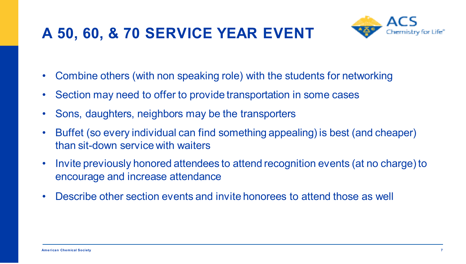## **A 50, 60, & 70 SERVICE YEAR EVENT**



- Combine others (with non speaking role) with the students for networking
- Section may need to offer to provide transportation in some cases
- Sons, daughters, neighbors may be the transporters
- Buffet (so every individual can find something appealing) is best (and cheaper) than sit-down service with waiters
- Invite previously honored attendees to attend recognition events (at no charge) to encourage and increase attendance
- Describe other section events and invite honorees to attend those as well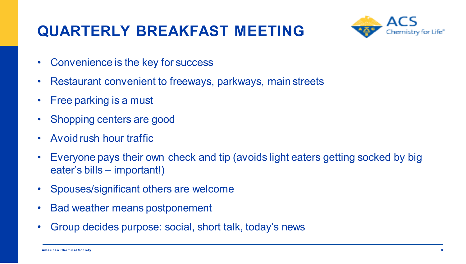### **QUARTERLY BREAKFAST MEETING**



- Convenience is the key for success
- Restaurant convenient to freeways, parkways, main streets
- Free parking is a must
- Shopping centers are good
- Avoidrush hour traffic
- Everyone pays their own check and tip (avoids light eaters getting socked by big eater's bills – important!)
- Spouses/significant others are welcome
- Bad weather means postponement
- Group decides purpose: social, short talk, today's news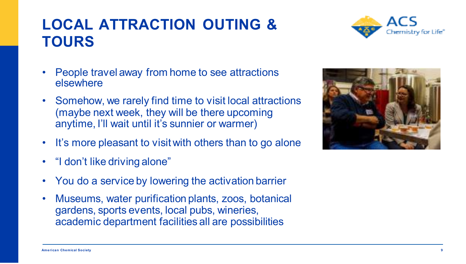#### **American Chemical Society 9**

#### **LOCAL ATTRACTION OUTING & TOURS**

- People travel away from home to see attractions elsewhere
- Somehow, we rarely find time to visit local attractions (maybe next week, they will be there upcoming anytime, I'll wait until it's sunnier or warmer)
- It's more pleasant to visit with others than to go alone
- "I don't like driving alone"
- You do a service by lowering the activation barrier
- Museums, water purification plants, zoos, botanical gardens, sports events, local pubs, wineries, academic department facilities all are possibilities



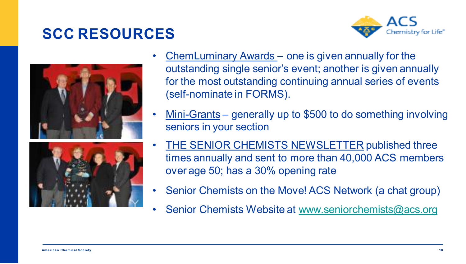#### **SCC RESOURCES**







- ChemLuminary Awards one is given annually for the outstanding single senior's event; another is given annually for the most outstanding continuing annual series of events (self-nominate in FORMS).
- Mini-Grants generally up to \$500 to do something involving seniors in your section
- **THE SENIOR CHEMISTS NEWSLETTER published three** times annually and sent to more than 40,000 ACS members over age 50; has a 30% opening rate
- Senior Chemists on the Move! ACS Network (a chat group)
- Senior Chemists Website at [www.seniorchemists@acs.org](http://www.seniorchemists@acs.org/)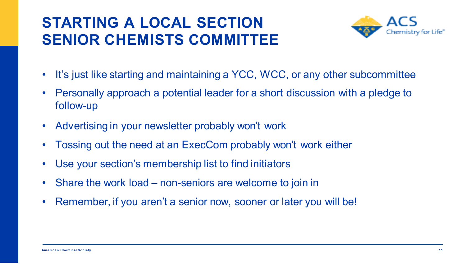#### **STARTING A LOCAL SECTION SENIOR CHEMISTS COMMITTEE**



- It's just like starting and maintaining a YCC, WCC, or any other subcommittee
- Personally approach a potential leader for a short discussion with a pledge to follow-up
- Advertising in your newsletter probably won't work
- Tossing out the need at an ExecCom probably won't work either
- Use your section's membership list to find initiators
- Share the work load non-seniors are welcome to join in
- Remember, if you aren't a senior now, sooner or later you will be!